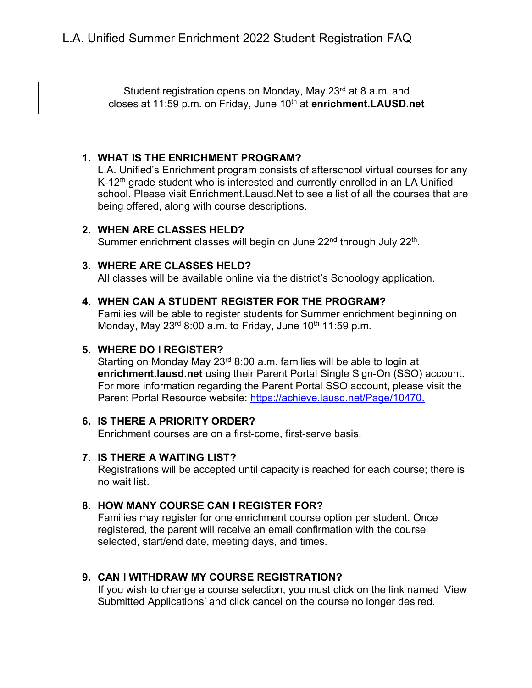Student registration opens on Monday, May 23rd at 8 a.m. and closes at 11:59 p.m. on Friday, June 10<sup>th</sup> at **enrichment.LAUSD.net** 

## **1. WHAT IS THE ENRICHMENT PROGRAM?**

L.A. Unified's Enrichment program consists of afterschool virtual courses for any K-12<sup>th</sup> grade student who is interested and currently enrolled in an LA Unified school. Please visit Enrichment.Lausd.Net to see a list of all the courses that are being offered, along with course descriptions.

#### **2. WHEN ARE CLASSES HELD?**

Summer enrichment classes will begin on June 22<sup>nd</sup> through July 22<sup>th</sup>.

### **3. WHERE ARE CLASSES HELD?**

All classes will be available online via the district's Schoology application.

### **4. WHEN CAN A STUDENT REGISTER FOR THE PROGRAM?**

Families will be able to register students for Summer enrichment beginning on Monday, May  $23<sup>rd</sup> 8:00$  a.m. to Friday, June  $10<sup>th</sup> 11:59$  p.m.

### **5. WHERE DO I REGISTER?**

Starting on Monday May 23<sup>rd</sup> 8:00 a.m. families will be able to login at **enrichment.lausd.net** using their Parent Portal Single Sign-On (SSO) account. For more information regarding the Parent Portal SSO account, please visit the Parent Portal Resource website: [https://achieve.lausd.net/Page/10470.](https://achieve.lausd.net/Page/10470)

### **6. IS THERE A PRIORITY ORDER?**

Enrichment courses are on a first-come, first-serve basis.

#### **7. IS THERE A WAITING LIST?**

Registrations will be accepted until capacity is reached for each course; there is no wait list.

## **8. HOW MANY COURSE CAN I REGISTER FOR?**

Families may register for one enrichment course option per student. Once registered, the parent will receive an email confirmation with the course selected, start/end date, meeting days, and times.

## **9. CAN I WITHDRAW MY COURSE REGISTRATION?**

If you wish to change a course selection, you must click on the link named 'View Submitted Applications' and click cancel on the course no longer desired.